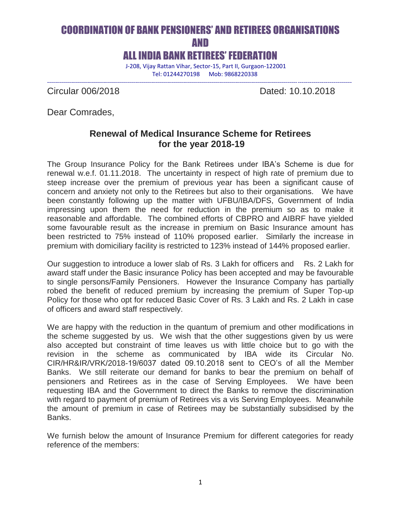# COORDINATION OF BANK PENSIONERS' AND RETIREES ORGANISATIONS AND ALL INDIA BANK RETIREES' FEDERATION

J-208, Vijay Rattan Vihar, Sector-15, Part II, Gurgaon-122001

--------------------------------------------------------------------------------------------------------------------------------------------------------

Tel: 01244270198 Mob: 9868220338

Circular 006/2018 Dated: 10.10.2018

Dear Comrades,

## **Renewal of Medical Insurance Scheme for Retirees for the year 2018-19**

The Group Insurance Policy for the Bank Retirees under IBA's Scheme is due for renewal w.e.f. 01.11.2018. The uncertainty in respect of high rate of premium due to steep increase over the premium of previous year has been a significant cause of concern and anxiety not only to the Retirees but also to their organisations. We have been constantly following up the matter with UFBU/IBA/DFS, Government of India impressing upon them the need for reduction in the premium so as to make it reasonable and affordable. The combined efforts of CBPRO and AIBRF have yielded some favourable result as the increase in premium on Basic Insurance amount has been restricted to 75% instead of 110% proposed earlier. Similarly the increase in premium with domiciliary facility is restricted to 123% instead of 144% proposed earlier.

Our suggestion to introduce a lower slab of Rs. 3 Lakh for officers and Rs. 2 Lakh for award staff under the Basic insurance Policy has been accepted and may be favourable to single persons/Family Pensioners. However the Insurance Company has partially robed the benefit of reduced premium by increasing the premium of Super Top-up Policy for those who opt for reduced Basic Cover of Rs. 3 Lakh and Rs. 2 Lakh in case of officers and award staff respectively.

We are happy with the reduction in the quantum of premium and other modifications in the scheme suggested by us. We wish that the other suggestions given by us were also accepted but constraint of time leaves us with little choice but to go with the revision in the scheme as communicated by IBA wide its Circular No. CIR/HR&IR/VRK/2018-19/6037 dated 09.10.2018 sent to CEO's of all the Member Banks. We still reiterate our demand for banks to bear the premium on behalf of pensioners and Retirees as in the case of Serving Employees. We have been requesting IBA and the Government to direct the Banks to remove the discrimination with regard to payment of premium of Retirees vis a vis Serving Employees. Meanwhile the amount of premium in case of Retirees may be substantially subsidised by the Banks.

We furnish below the amount of Insurance Premium for different categories for ready reference of the members: